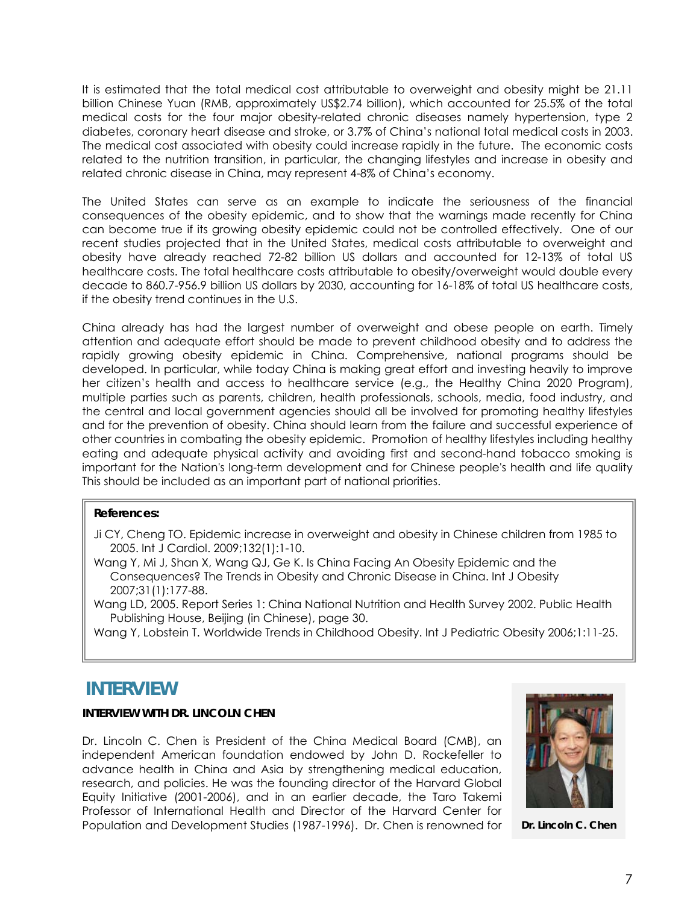It is estimated that the total medical cost attributable to overweight and obesity might be 21.11 billion Chinese Yuan (RMB, approximately US\$2.74 billion), which accounted for 25.5% of the total medical costs for the four major obesity-related chronic diseases namely hypertension, type 2 diabetes, coronary heart disease and stroke, or 3.7% of China's national total medical costs in 2003. The medical cost associated with obesity could increase rapidly in the future. The economic costs related to the nutrition transition, in particular, the changing lifestyles and increase in obesity and related chronic disease in China, may represent 4-8% of China's economy.

The United States can serve as an example to indicate the seriousness of the financial consequences of the obesity epidemic, and to show that the warnings made recently for China can become true if its growing obesity epidemic could not be controlled effectively. One of our recent studies projected that in the United States, medical costs attributable to overweight and obesity have already reached 72-82 billion US dollars and accounted for 12-13% of total US healthcare costs. The total healthcare costs attributable to obesity/overweight would double every decade to 860.7-956.9 billion US dollars by 2030, accounting for 16-18% of total US healthcare costs, if the obesity trend continues in the U.S.

China already has had the largest number of overweight and obese people on earth. Timely attention and adequate effort should be made to prevent childhood obesity and to address the rapidly growing obesity epidemic in China. Comprehensive, national programs should be developed. In particular, while today China is making great effort and investing heavily to improve her citizen's health and access to healthcare service (e.g., the Healthy China 2020 Program), multiple parties such as parents, children, health professionals, schools, media, food industry, and the central and local government agencies should all be involved for promoting healthy lifestyles and for the prevention of obesity. China should learn from the failure and successful experience of other countries in combating the obesity epidemic. Promotion of healthy lifestyles including healthy eating and adequate physical activity and avoiding first and second-hand tobacco smoking is important for the Nation's long-term development and for Chinese people's health and life quality This should be included as an important part of national priorities.

## **References:**

- Ji CY, Cheng TO. Epidemic increase in overweight and obesity in Chinese children from 1985 to 2005. Int J Cardiol. 2009;132(1):1-10.
- Wang Y, Mi J, Shan X, Wang QJ, Ge K. Is China Facing An Obesity Epidemic and the Consequences? The Trends in Obesity and Chronic Disease in China. Int J Obesity 2007;31(1):177-88.

Wang LD, 2005. Report Series 1: China National Nutrition and Health Survey 2002. Public Health Publishing House, Beijing (in Chinese), page 30.

Wang Y, Lobstein T. Worldwide Trends in Childhood Obesity. Int J Pediatric Obesity 2006;1:11-25.

# **INTERVIEW**

## **INTERVIEW WITH DR. LINCOLN CHEN**

Dr. Lincoln C. Chen is President of the China Medical Board (CMB), an independent American foundation endowed by John D. Rockefeller to advance health in China and Asia by strengthening medical education, research, and policies. He was the founding director of the Harvard Global Equity Initiative (2001-2006), and in an earlier decade, the Taro Takemi Professor of International Health and Director of the Harvard Center for Population and Development Studies (1987-1996). Dr. Chen is renowned for



**Dr. Lincoln C. Chen**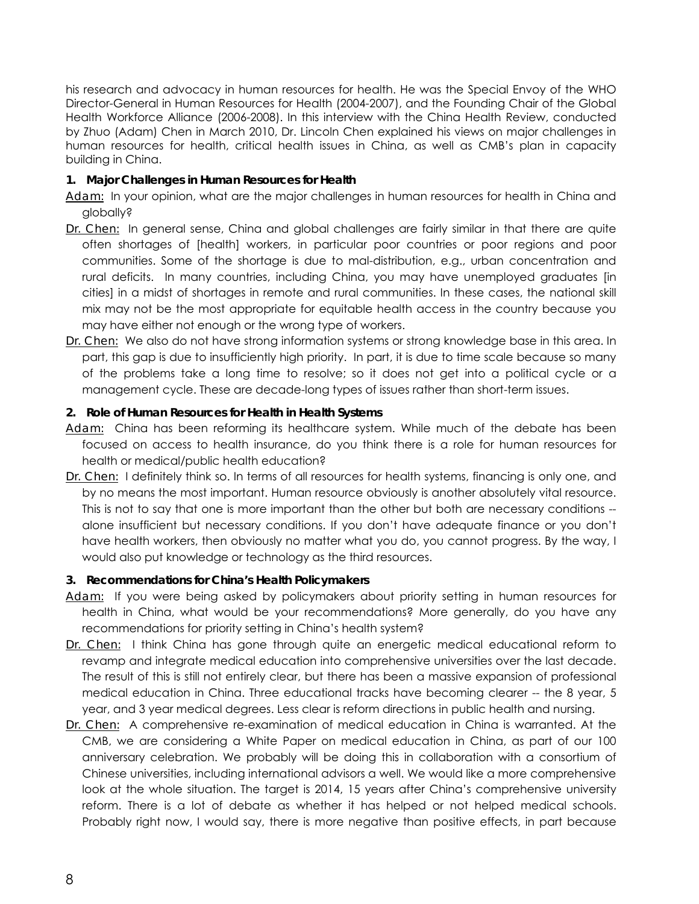his research and advocacy in human resources for health. He was the Special Envoy of the WHO Director-General in Human Resources for Health (2004-2007), and the Founding Chair of the Global Health Workforce Alliance (2006-2008). In this interview with the China Health Review, conducted by Zhuo (Adam) Chen in March 2010, Dr. Lincoln Chen explained his views on major challenges in human resources for health, critical health issues in China, as well as CMB's plan in capacity building in China.

## **1. Major Challenges in Human Resources for Health**

*Adam:* In your opinion, what are the major challenges in human resources for health in China and globally?

- *Dr. Chen:* In general sense, China and global challenges are fairly similar in that there are quite often shortages of [health] workers, in particular poor countries or poor regions and poor communities. Some of the shortage is due to mal-distribution, e.g., urban concentration and rural deficits. In many countries, including China, you may have unemployed graduates [in cities] in a midst of shortages in remote and rural communities. In these cases, the national skill mix may not be the most appropriate for equitable health access in the country because you may have either not enough or the wrong type of workers.
- *Dr. Chen:* We also do not have strong information systems or strong knowledge base in this area. In part, this gap is due to insufficiently high priority. In part, it is due to time scale because so many of the problems take a long time to resolve; so it does not get into a political cycle or a management cycle. These are decade-long types of issues rather than short-term issues.

## **2. Role of Human Resources for Health in Health Systems**

- *Adam:* China has been reforming its healthcare system. While much of the debate has been focused on access to health insurance, do you think there is a role for human resources for health or medical/public health education?
- *Dr. Chen:* I definitely think so. In terms of all resources for health systems, financing is only one, and by no means the most important. Human resource obviously is another absolutely vital resource. This is not to say that one is more important than the other but both are necessary conditions - alone insufficient but necessary conditions. If you don't have adequate finance or you don't have health workers, then obviously no matter what you do, you cannot progress. By the way, I would also put knowledge or technology as the third resources.

## **3. Recommendations for China's Health Policymakers**

- *Adam:* If you were being asked by policymakers about priority setting in human resources for health in China, what would be your recommendations? More generally, do you have any recommendations for priority setting in China's health system?
- *Dr. Chen:* I think China has gone through quite an energetic medical educational reform to revamp and integrate medical education into comprehensive universities over the last decade. The result of this is still not entirely clear, but there has been a massive expansion of professional medical education in China. Three educational tracks have becoming clearer -- the 8 year, 5 year, and 3 year medical degrees. Less clear is reform directions in public health and nursing.
- *Dr. Chen:* A comprehensive re-examination of medical education in China is warranted. At the CMB, we are considering a White Paper on medical education in China, as part of our 100 anniversary celebration. We probably will be doing this in collaboration with a consortium of Chinese universities, including international advisors a well. We would like a more comprehensive look at the whole situation. The target is 2014, 15 years after China's comprehensive university reform. There is a lot of debate as whether it has helped or not helped medical schools. Probably right now, I would say, there is more negative than positive effects, in part because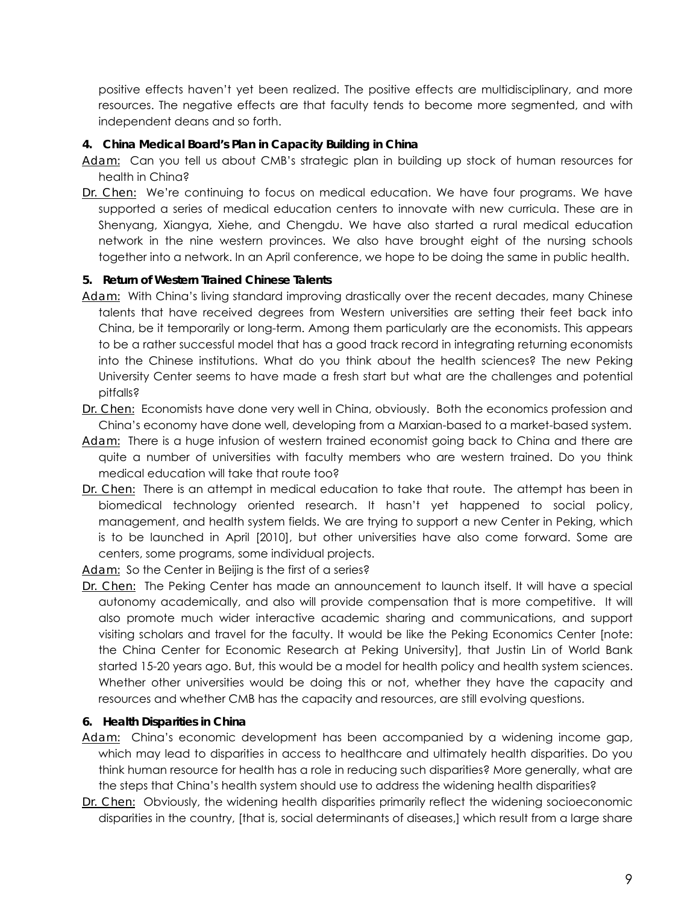positive effects haven't yet been realized. The positive effects are multidisciplinary, and more resources. The negative effects are that faculty tends to become more segmented, and with independent deans and so forth.

## **4. China Medical Board's Plan in Capacity Building in China**

- *Adam:* Can you tell us about CMB's strategic plan in building up stock of human resources for health in China?
- *Dr. Chen:* We're continuing to focus on medical education. We have four programs. We have supported a series of medical education centers to innovate with new curricula. These are in Shenyang, Xiangya, Xiehe, and Chengdu. We have also started a rural medical education network in the nine western provinces. We also have brought eight of the nursing schools together into a network. In an April conference, we hope to be doing the same in public health.

## **5. Return of Western Trained Chinese Talents**

- *Adam:* With China's living standard improving drastically over the recent decades, many Chinese talents that have received degrees from Western universities are setting their feet back into China, be it temporarily or long-term. Among them particularly are the economists. This appears to be a rather successful model that has a good track record in integrating returning economists into the Chinese institutions. What do you think about the health sciences? The new Peking University Center seems to have made a fresh start but what are the challenges and potential pitfalls?
- *Dr. Chen:* Economists have done very well in China, obviously. Both the economics profession and China's economy have done well, developing from a Marxian-based to a market-based system.
- *Adam:* There is a huge infusion of western trained economist going back to China and there are quite a number of universities with faculty members who are western trained. Do you think medical education will take that route too?
- *Dr. Chen:* There is an attempt in medical education to take that route. The attempt has been in biomedical technology oriented research. It hasn't yet happened to social policy, management, and health system fields. We are trying to support a new Center in Peking, which is to be launched in April [2010], but other universities have also come forward. Some are centers, some programs, some individual projects.
- *Adam:* So the Center in Beijing is the first of a series?
- *Dr. Chen:* The Peking Center has made an announcement to launch itself. It will have a special autonomy academically, and also will provide compensation that is more competitive. It will also promote much wider interactive academic sharing and communications, and support visiting scholars and travel for the faculty. It would be like the Peking Economics Center [note: the China Center for Economic Research at Peking University], that Justin Lin of World Bank started 15-20 years ago. But, this would be a model for health policy and health system sciences. Whether other universities would be doing this or not, whether they have the capacity and resources and whether CMB has the capacity and resources, are still evolving questions.

## **6. Health Disparities in China**

- *Adam:* China's economic development has been accompanied by a widening income gap, which may lead to disparities in access to healthcare and ultimately health disparities. Do you think human resource for health has a role in reducing such disparities? More generally, what are the steps that China's health system should use to address the widening health disparities?
- *Dr. Chen:* Obviously, the widening health disparities primarily reflect the widening socioeconomic disparities in the country, [that is, social determinants of diseases,] which result from a large share